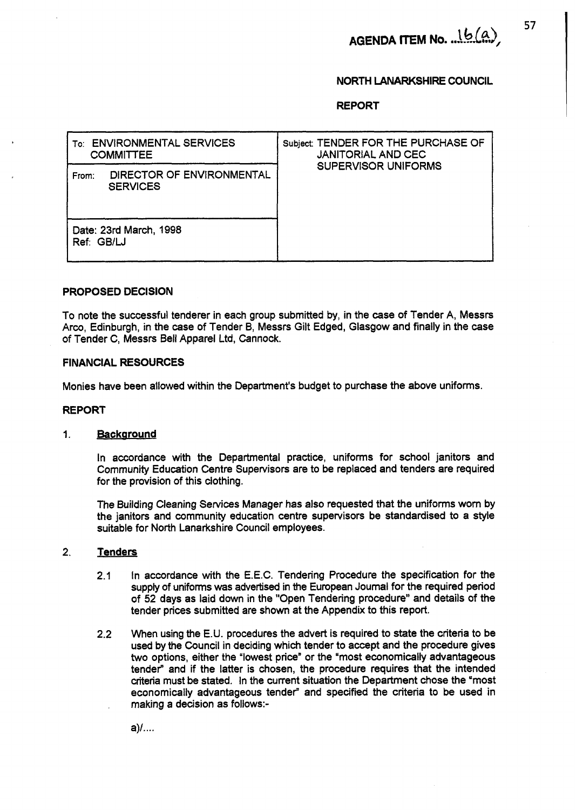AGENDA ITEM No. ... (b(a)

## **NORTH LANARKSHIRE COUNCIL**

**REPORT** 

| <b>ENVIRONMENTAL SERVICES</b><br>To:<br><b>COMMITTEE</b> | Subject: TENDER FOR THE PURCHASE OF<br><b>JANITORIAL AND CEC</b> |
|----------------------------------------------------------|------------------------------------------------------------------|
| DIRECTOR OF ENVIRONMENTAL<br>From:<br><b>SERVICES</b>    | <b>SUPERVISOR UNIFORMS</b>                                       |
| Date: 23rd March, 1998<br>Ref: GB/LJ                     |                                                                  |

## **PROPOSED DECISION**

To note the successful tenderer in each group submitted by, in the case of Tender A, Messrs Arco, Edinburgh, in the case of Tender B, Messrs Gilt Edged, Glasgow and finally in the case of Tender C, Messrs Bell Apparel Ltd, Cannock.

### **FINANCIAL RESOURCES**

Monies have been allowed within the Department's budget to purchase the above uniforms.

#### **REPORT**

#### **1. Backaround**

In accordance with the Departmental practice, uniforms for school janitors and Community Education Centre Supervisors are to be replaced and tenders are required for the provision of this clothing.

The Building Cleaning Services Manager has also requested that the uniforms worn by the janitors and community education centre supervisors be standardised to a style suitable for North Lanarkshire Council employees.

## 2. Tenders

- 2.1 In accordance with the E.E.C. Tendering Procedure the specification for the supply of uniforms **was** advertised in the European Joumal for the required period of 52 days as laid down in the "Open Tendering procedure" and details of the tender prices submitted are shown at the Appendix to this report.
- 2.2 When using the E.U. procedures the advert is required to state the criteria to be used by the Council in deciding which tender to accept and the procedure gives **two** options, either the "lowest price" or the "most economically advantageous tender<sup>®</sup> and if the latter is chosen, the procedure requires that the intended criteria must be stated. In the current situation the Department chose the "most economically advantageous tender" and specified the criteria to be used in making a decision as follows:-

 $a)$ /....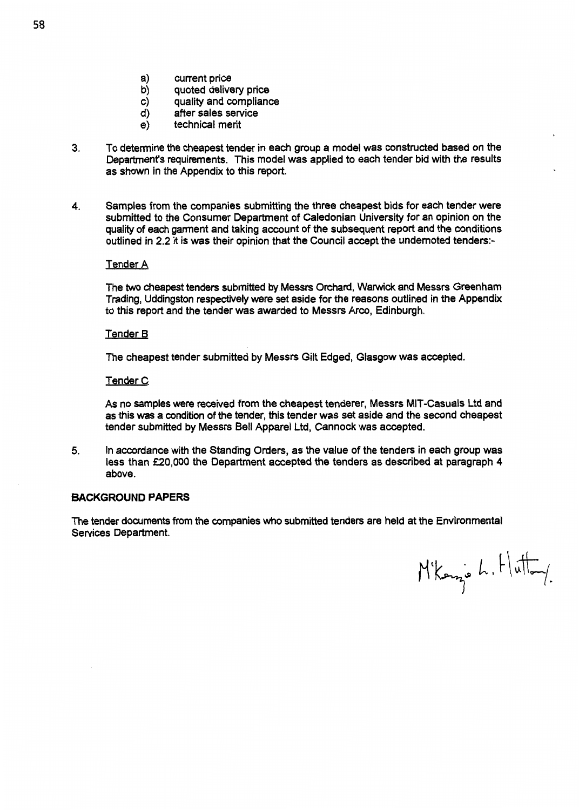- a) current price<br>b) quoted delive
- b) quoted delivery price
- c) quality and compliance
- d) after sales service
- e) technical merit
- **3.** To determine the cheapest tender in each group a model was constructed based on the Department's requirements. This model was applied to each tender bid with the results as shown in the Appendix to this report,
- **4.** Samples from the companies submitting the three cheapest bids for each tender were submitted to the Consumer Department of Caledonian University for an opinion on the quality of each garment and taking account of the subsequent report and the conditions outlined in 2.2 it is was their opinion that the Council accept the undernoted tenders:-

# Tender A

The **WO** cheapest tenders submitted by Messrs Otchard, Warwick and Messrs Greenham Trading, Uddingston respectively were set aside for the reasons outlined in the Appendix to this report and the tender was awarded to Messrs Arco, Edinburgh.

## Tender B

The cheapest tender submitted by Messrs Gilt Edged, Glasgow was accepted.

#### Tender C

As no samples were received from the cheapest tenderer, Messrs MIT-Casuals Ltd and as this was a condition of the tender, this tender was set aside and the second cheapest tender submitted by Messrs Bell Apparel Ltd, Cannock was accepted.

*5.* In accordance with the Standing Orders, as the value of the tenders in each group was less than *f20,OOO* the Department accepted the tenders as described at paragraph 4 above.

#### **BACKGROUND PAPERS**

The tender documents from the companies who submitted tenders are held at the Environmental Services Department.

 $M'$ korz<sup>o</sup> L. Hutton.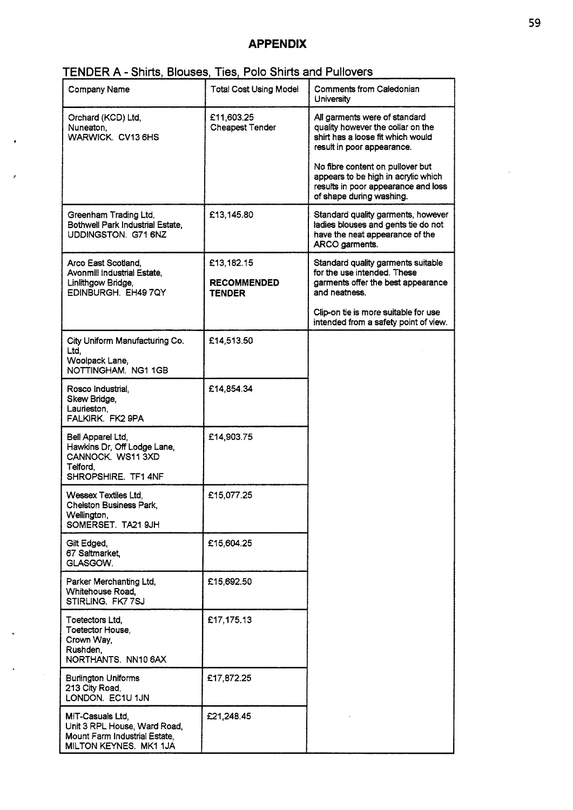# **APPENDIX**

# **FENDER A - Shirts, Blouses, Ties, Polo Shirts and Pullovers**

| <b>Company Name</b>                                                                                         | <b>Total Cost Using Model</b>                     | <b>Comments from Caledonian</b><br>University                                                                                              |
|-------------------------------------------------------------------------------------------------------------|---------------------------------------------------|--------------------------------------------------------------------------------------------------------------------------------------------|
| Orchard (KCD) Ltd,<br>Nuneaton,<br>WARWICK. CV13 6HS                                                        | £11,603.25<br>Cheapest Tender                     | All garments were of standard<br>quality however the collar on the<br>shirt has a loose fit which would<br>result in poor appearance.      |
|                                                                                                             |                                                   | No fibre content on pullover but<br>appears to be high in acrylic which<br>results in poor appearance and loss<br>of shape during washing. |
| Greenham Trading Ltd,<br>Bothwell Park Industrial Estate,<br>UDDINGSTON. G71 6NZ                            | £13,145.80                                        | Standard quality garments, however<br>ladies blouses and gents tie do not<br>have the neat appearance of the<br>ARCO garments.             |
| Arco East Scotland.<br>Avonmill Industrial Estate,<br>Linlithgow Bridge,<br>EDINBURGH. EH49 7QY             | £13,182.15<br><b>RECOMMENDED</b><br><b>TENDER</b> | Standard quality garments suitable<br>for the use intended. These<br>garments offer the best appearance<br>and neatness.                   |
|                                                                                                             |                                                   | Clip-on tie is more suitable for use<br>intended from a safety point of view.                                                              |
| City Uniform Manufacturing Co.<br>Ltd,<br>Woolpack Lane,<br>NOTTINGHAM. NG1 1GB                             | £14,513.50                                        |                                                                                                                                            |
| Rosco Industrial,<br>Skew Bridge,<br>Laurieston,<br>FALKIRK. FK2 9PA                                        | £14,854.34                                        |                                                                                                                                            |
| Bell Apparel Ltd,<br>Hawkins Dr, Off Lodge Lane,<br>CANNOCK. WS11 3XD<br>Telford.<br>SHROPSHIRE. TF1 4NF    | £14,903.75                                        |                                                                                                                                            |
| Wessex Textiles Ltd.<br>Chelston Business Park,<br>Wellington,<br>SOMERSET. TA21 9JH                        | £15,077.25                                        |                                                                                                                                            |
| Gilt Edged,<br>67 Saltmarket.<br>GLASGOW.                                                                   | £15,604.25                                        |                                                                                                                                            |
| Parker Merchanting Ltd,<br>Whitehouse Road,<br>STIRLING. FK77SJ                                             | £15,692.50                                        |                                                                                                                                            |
| Toetectors Ltd,<br>Toetector House,<br>Crown Way,<br>Rushden,<br>NORTHANTS. NN10 6AX                        | £17,175.13                                        |                                                                                                                                            |
| <b>Burlington Uniforms</b><br>213 City Road,<br>LONDON. EC1U 1JN                                            | £17,872.25                                        |                                                                                                                                            |
| MIT-Casuals Ltd,<br>Unit 3 RPL House, Ward Road,<br>Mount Farm Industrial Estate,<br>MILTON KEYNES. MK1 1JA | £21,248.45                                        |                                                                                                                                            |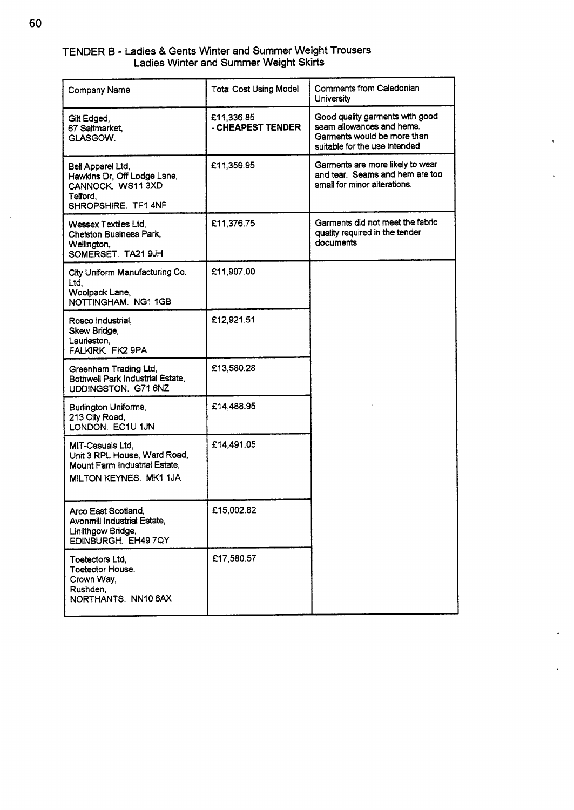| TENDER B - Ladies & Gents Winter and Summer Weight Trousers |  |                                               |  |
|-------------------------------------------------------------|--|-----------------------------------------------|--|
|                                                             |  | <b>Ladies Winter and Summer Weight Skirts</b> |  |

| TENDER B - Ladies & Gents Winter and Summer Weight Trousers                                                 |                                                                         |                                                                                                                              |
|-------------------------------------------------------------------------------------------------------------|-------------------------------------------------------------------------|------------------------------------------------------------------------------------------------------------------------------|
| <b>Company Name</b>                                                                                         | Ladies Winter and Summer Weight Skirts<br><b>Total Cost Using Model</b> | <b>Comments from Caledonian</b><br><b>University</b>                                                                         |
| Gilt Edged,<br>67 Saltmarket,<br>GLASGOW.                                                                   | £11,336.85<br>- CHEAPEST TENDER                                         | Good quality garments with good<br>seam allowances and hems.<br>Garments would be more than<br>suitable for the use intended |
| Bell Apparel Ltd,<br>Hawkins Dr, Off Lodge Lane,<br>CANNOCK. WS11 3XD<br>Telford,<br>SHROPSHIRE. TF1 4NF    | £11,359.95                                                              | Garments are more likely to wear<br>and tear. Seams and hem are too<br>small for minor alterations.                          |
| <b>Wessex Textiles Ltd.</b><br>Chelston Business Park,<br>Wellington,<br>SOMERSET. TA21 9JH                 | £11,376.75                                                              | Garments did not meet the fabric<br>quality required in the tender<br>documents                                              |
| City Uniform Manufacturing Co.<br>Ltd,<br>Woolpack Lane,<br>NOTTINGHAM. NG1 1GB                             | £11,907.00                                                              |                                                                                                                              |
| Rosco Industrial,<br>Skew Bridge,<br>Laurieston,<br>FALKIRK. FK2 9PA                                        | £12,921.51                                                              |                                                                                                                              |
| Greenham Trading Ltd,<br>Bothwell Park Industrial Estate,<br>UDDINGSTON. G71 6NZ                            | £13,580.28                                                              |                                                                                                                              |
| Burlington Uniforms,<br>213 City Road,<br>LONDON. EC1U 1JN                                                  | £14,488.95                                                              |                                                                                                                              |
| MIT-Casuals Ltd,<br>Unit 3 RPL House, Ward Road,<br>Mount Farm Industrial Estate,<br>MILTON KEYNES. MK1 1JA | £14,491.05                                                              |                                                                                                                              |
| Arco East Scotland,<br>Avonmill Industrial Estate,<br>Linlithgow Bridge,<br>EDINBURGH. EH49 7QY             | £15,002.82                                                              |                                                                                                                              |
| Toetectors Ltd,<br>Toetector House,<br>Crown Way,<br>Rushden,<br>NORTHANTS. NN10 6AX                        | £17,580.57                                                              |                                                                                                                              |